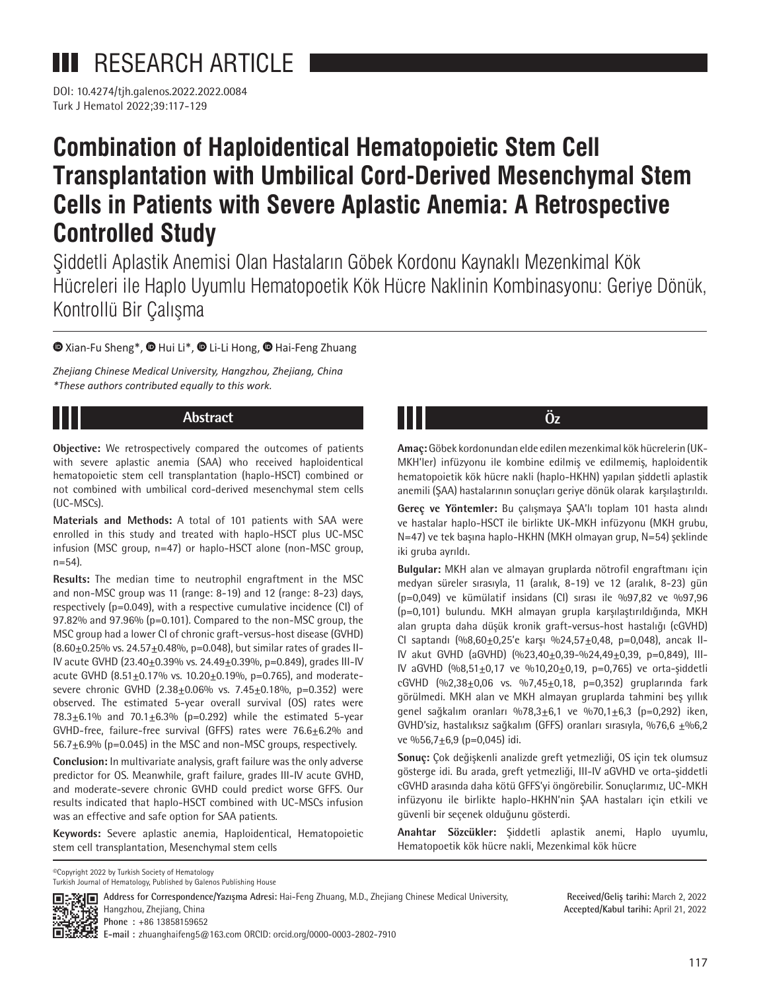**III** RESEARCH ARTICLE

Turk J Hematol 2022;39:117-129 DOI: 10.4274/tjh.galenos.2022.2022.0084

# **Combination of Haploidentical Hematopoietic Stem Cell Transplantation with Umbilical Cord-Derived Mesenchymal Stem Cells in Patients with Severe Aplastic Anemia: A Retrospective Controlled Study**

Şiddetli Aplastik Anemisi Olan Hastaların Göbek Kordonu Kaynaklı Mezenkimal Kök Hücreleri ile Haplo Uyumlu Hematopoetik Kök Hücre Naklinin Kombinasyonu: Geriye Dönük, Kontrollü Bir Çalışma

### $\bullet$ Xian-Fu Sheng\*[,](https://orcid.org/0000-0003-2802-7910)  $\bullet$  [H](https://orcid.org/0000-0001-9783-1078)ui Li\*,  $\bullet$  Li-Li Hong,  $\bullet$  Hai-Feng Zhuang

*Zhejiang Chinese Medical University, Hangzhou, Zhejiang, China \*These authors contributed equally to this work.*

# **Abstract Öz**

**Objective:** We retrospectively compared the outcomes of patients with severe aplastic anemia (SAA) who received haploidentical hematopoietic stem cell transplantation (haplo-HSCT) combined or not combined with umbilical cord-derived mesenchymal stem cells (UC-MSCs).

**Materials and Methods:** A total of 101 patients with SAA were enrolled in this study and treated with haplo-HSCT plus UC-MSC infusion (MSC group, n=47) or haplo-HSCT alone (non-MSC group, n=54).

**Results:** The median time to neutrophil engraftment in the MSC and non-MSC group was 11 (range: 8-19) and 12 (range: 8-23) days, respectively (p=0.049), with a respective cumulative incidence (CI) of 97.82% and 97.96% (p=0.101). Compared to the non-MSC group, the MSC group had a lower CI of chronic graft-versus-host disease (GVHD)  $(8.60 \pm 0.25\%$  vs.  $24.57 \pm 0.48\%$ , p=0.048), but similar rates of grades II-IV acute GVHD (23.40±0.39% vs. 24.49±0.39%, p=0.849), grades III-IV acute GVHD  $(8.51 \pm 0.17\% \text{ vs. } 10.20 \pm 0.19\% \text{, } p=0.765)$ , and moderatesevere chronic GVHD (2.38 $\pm$ 0.06% vs. 7.45 $\pm$ 0.18%, p=0.352) were observed. The estimated 5-year overall survival (OS) rates were 78.3 $\pm$ 6.1% and 70.1 $\pm$ 6.3% (p=0.292) while the estimated 5-year GVHD-free, failure-free survival (GFFS) rates were 76.6±6.2% and  $56.7\pm6.9\%$  (p=0.045) in the MSC and non-MSC groups, respectively.

**Conclusion:** In multivariate analysis, graft failure was the only adverse predictor for OS. Meanwhile, graft failure, grades III-IV acute GVHD, and moderate-severe chronic GVHD could predict worse GFFS. Our results indicated that haplo-HSCT combined with UC-MSCs infusion was an effective and safe option for SAA patients.

**Keywords:** Severe aplastic anemia, Haploidentical, Hematopoietic stem cell transplantation, Mesenchymal stem cells

**Amaç:** Göbek kordonundan elde edilen mezenkimal kök hücrelerin (UK-MKH'ler) infüzyonu ile kombine edilmiş ve edilmemiş, haploidentik hematopoietik kök hücre nakli (haplo-HKHN) yapılan şiddetli aplastik anemili (ŞAA) hastalarının sonuçları geriye dönük olarak karşılaştırıldı.

**Gereç ve Yöntemler:** Bu çalışmaya ŞAA'lı toplam 101 hasta alındı ve hastalar haplo-HSCT ile birlikte UK-MKH infüzyonu (MKH grubu, N=47) ve tek başına haplo-HKHN (MKH olmayan grup, N=54) şeklinde iki gruba ayrıldı.

**Bulgular:** MKH alan ve almayan gruplarda nötrofil engraftmanı için medyan süreler sırasıyla, 11 (aralık, 8-19) ve 12 (aralık, 8-23) gün (p=0,049) ve kümülatif insidans (CI) sırası ile %97,82 ve %97,96 (p=0,101) bulundu. MKH almayan grupla karşılaştırıldığında, MKH alan grupta daha düşük kronik graft-versus-host hastalığı (cGVHD) CI saptandı  $(%8,60±0,25'e$  karşı %24,57±0,48, p=0,048), ancak II-IV akut GVHD (aGVHD) (%23,40±0,39-%24,49±0,39, p=0,849), III-IV aGVHD (%8,51±0,17 ve %10,20±0,19, p=0,765) ve orta-şiddetli cGVHD  $(\%2,38\pm0,06 \text{ vs. } \%7,45\pm0,18, \text{ p=0,352})$  gruplarında fark görülmedi. MKH alan ve MKH almayan gruplarda tahmini beş yıllık genel sağkalım oranları %78,3±6,1 ve %70,1±6,3 (p=0,292) iken, GVHD'siz, hastalıksız sağkalım (GFFS) oranları sırasıyla, %76,6 ±%6,2 ve %56,7 $\pm$ 6,9 (p=0,045) idi.

**Sonuç:** Çok değişkenli analizde greft yetmezliği, OS için tek olumsuz gösterge idi. Bu arada, greft yetmezliği, III-IV aGVHD ve orta-şiddetli cGVHD arasında daha kötü GFFS'yi öngörebilir. Sonuçlarımız, UC-MKH infüzyonu ile birlikte haplo-HKHN'nin ŞAA hastaları için etkili ve güvenli bir seçenek olduğunu gösterdi.

**Anahtar Sözcükler:** Şiddetli aplastik anemi, Haplo uyumlu, Hematopoetik kök hücre nakli, Mezenkimal kök hücre

©Copyright 2022 by Turkish Society of Hematology Turkish Journal of Hematology, Published by Galenos Publishing House



**Address for Correspondence/Yazışma Adresi:** Hai-Feng Zhuang, M.D., Zhejiang Chinese Medical University, Hangzhou, Zhejiang, China **Phone :** +86 13858159652 **E-mail :** zhuanghaifeng5@163.com ORCID: orcid.org/0000-0003-2802-7910

**Received/Geliş tarihi:** March 2, 2022 **Accepted/Kabul tarihi:** April 21, 2022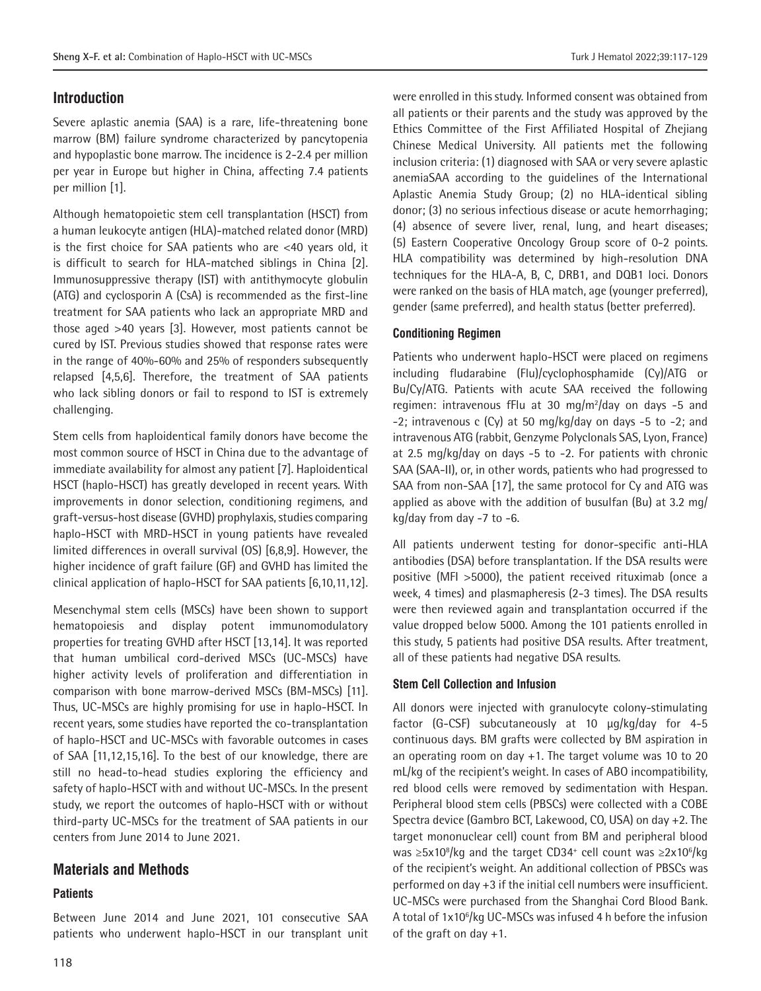# **Introduction**

Severe aplastic anemia (SAA) is a rare, life-threatening bone marrow (BM) failure syndrome characterized by pancytopenia and hypoplastic bone marrow. The incidence is 2-2.4 per million per year in Europe but higher in China, affecting 7.4 patients per million [1].

Although hematopoietic stem cell transplantation (HSCT) from a human leukocyte antigen (HLA)-matched related donor (MRD) is the first choice for SAA patients who are <40 years old, it is difficult to search for HLA-matched siblings in China [2]. Immunosuppressive therapy (IST) with antithymocyte globulin (ATG) and cyclosporin A (CsA) is recommended as the first-line treatment for SAA patients who lack an appropriate MRD and those aged >40 years [3]. However, most patients cannot be cured by IST. Previous studies showed that response rates were in the range of 40%-60% and 25% of responders subsequently relapsed [4,5,6]. Therefore, the treatment of SAA patients who lack sibling donors or fail to respond to IST is extremely challenging.

Stem cells from haploidentical family donors have become the most common source of HSCT in China due to the advantage of immediate availability for almost any patient [7]. Haploidentical HSCT (haplo-HSCT) has greatly developed in recent years. With improvements in donor selection, conditioning regimens, and graft-versus-host disease (GVHD) prophylaxis, studies comparing haplo-HSCT with MRD-HSCT in young patients have revealed limited differences in overall survival (OS) [6,8,9]. However, the higher incidence of graft failure (GF) and GVHD has limited the clinical application of haplo-HSCT for SAA patients [6,10,11,12].

Mesenchymal stem cells (MSCs) have been shown to support hematopoiesis and display potent immunomodulatory properties for treating GVHD after HSCT [13,14]. It was reported that human umbilical cord-derived MSCs (UC-MSCs) have higher activity levels of proliferation and differentiation in comparison with bone marrow-derived MSCs (BM-MSCs) [11]. Thus, UC-MSCs are highly promising for use in haplo-HSCT. In recent years, some studies have reported the co-transplantation of haplo-HSCT and UC-MSCs with favorable outcomes in cases of SAA [11,12,15,16]. To the best of our knowledge, there are still no head-to-head studies exploring the efficiency and safety of haplo-HSCT with and without UC-MSCs. In the present study, we report the outcomes of haplo-HSCT with or without third-party UC-MSCs for the treatment of SAA patients in our centers from June 2014 to June 2021.

# **Materials and Methods**

#### **Patients**

Between June 2014 and June 2021, 101 consecutive SAA patients who underwent haplo-HSCT in our transplant unit were enrolled in this study. Informed consent was obtained from all patients or their parents and the study was approved by the Ethics Committee of the First Affiliated Hospital of Zhejiang Chinese Medical University. All patients met the following inclusion criteria: (1) diagnosed with SAA or very severe aplastic anemiaSAA according to the guidelines of the International Aplastic Anemia Study Group; (2) no HLA-identical sibling donor; (3) no serious infectious disease or acute hemorrhaging; (4) absence of severe liver, renal, lung, and heart diseases; (5) Eastern Cooperative Oncology Group score of 0-2 points. HLA compatibility was determined by high-resolution DNA techniques for the HLA-A, B, C, DRB1, and DQB1 loci. Donors were ranked on the basis of HLA match, age (younger preferred), gender (same preferred), and health status (better preferred).

### **Conditioning Regimen**

Patients who underwent haplo-HSCT were placed on regimens including fludarabine (Flu)/cyclophosphamide (Cy)/ATG or Bu/Cy/ATG. Patients with acute SAA received the following regimen: intravenous fFlu at 30 mg/m<sup>2</sup>/day on days -5 and -2; intravenous c (Cy) at 50 mg/kg/day on days -5 to -2; and intravenous ATG (rabbit, Genzyme Polyclonals SAS, Lyon, France) at 2.5 mg/kg/day on days -5 to -2. For patients with chronic SAA (SAA-II), or, in other words, patients who had progressed to SAA from non-SAA [17], the same protocol for Cy and ATG was applied as above with the addition of busulfan (Bu) at 3.2 mg/ kg/day from day -7 to -6.

All patients underwent testing for donor-specific anti-HLA antibodies (DSA) before transplantation. If the DSA results were positive (MFI >5000), the patient received rituximab (once a week, 4 times) and plasmapheresis (2-3 times). The DSA results were then reviewed again and transplantation occurred if the value dropped below 5000. Among the 101 patients enrolled in this study, 5 patients had positive DSA results. After treatment, all of these patients had negative DSA results.

# **Stem Cell Collection and Infusion**

All donors were injected with granulocyte colony-stimulating factor (G-CSF) subcutaneously at 10 µg/kg/day for 4-5 continuous days. BM grafts were collected by BM aspiration in an operating room on day +1. The target volume was 10 to 20 mL/kg of the recipient's weight. In cases of ABO incompatibility, red blood cells were removed by sedimentation with Hespan. Peripheral blood stem cells (PBSCs) were collected with a COBE Spectra device (Gambro BCT, Lakewood, CO, USA) on day +2. The target mononuclear cell) count from BM and peripheral blood was ≥5x10<sup>8</sup>/kg and the target CD34<sup>+</sup> cell count was ≥2x10<sup>6</sup>/kg of the recipient's weight. An additional collection of PBSCs was performed on day +3 if the initial cell numbers were insufficient. UC-MSCs were purchased from the Shanghai Cord Blood Bank. A total of 1x10<sup>6</sup>/kg UC-MSCs was infused 4 h before the infusion of the graft on day +1.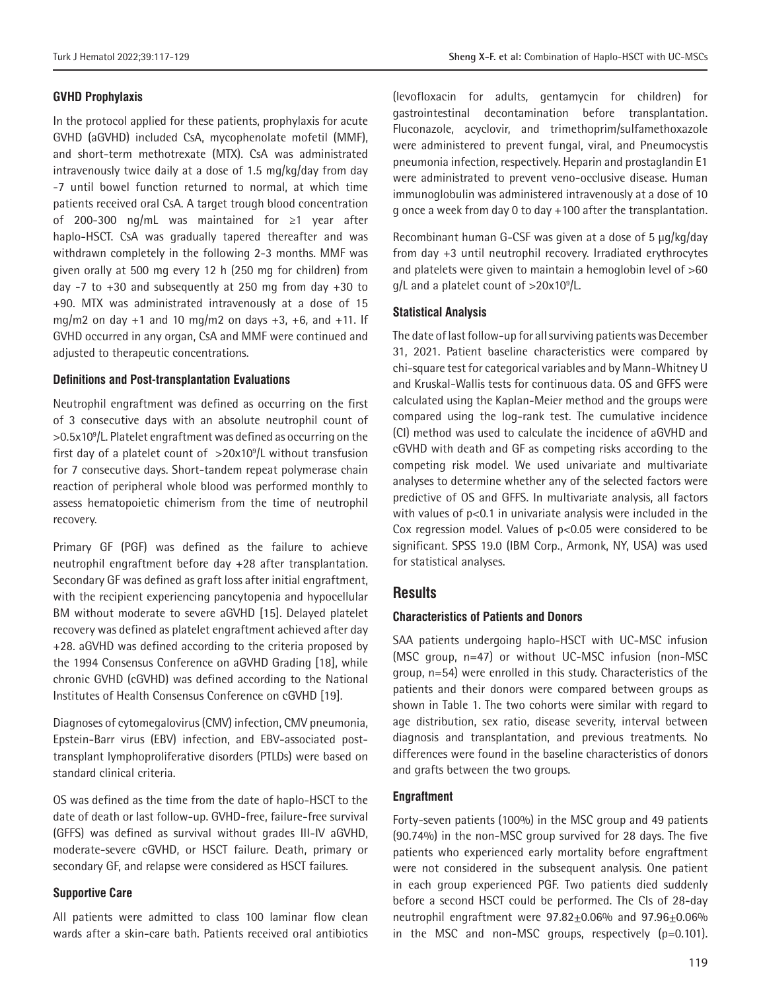#### **GVHD Prophylaxis**

In the protocol applied for these patients, prophylaxis for acute GVHD (aGVHD) included CsA, mycophenolate mofetil (MMF), and short-term methotrexate (MTX). CsA was administrated intravenously twice daily at a dose of 1.5 mg/kg/day from day -7 until bowel function returned to normal, at which time patients received oral CsA. A target trough blood concentration of 200-300 ng/mL was maintained for ≥1 year after haplo-HSCT. CsA was gradually tapered thereafter and was withdrawn completely in the following 2-3 months. MMF was given orally at 500 mg every 12 h (250 mg for children) from day  $-7$  to  $+30$  and subsequently at 250 mg from day  $+30$  to +90. MTX was administrated intravenously at a dose of 15 mg/m2 on day  $+1$  and 10 mg/m2 on days  $+3$ ,  $+6$ , and  $+11$ . If GVHD occurred in any organ, CsA and MMF were continued and adjusted to therapeutic concentrations.

#### **Definitions and Post-transplantation Evaluations**

Neutrophil engraftment was defined as occurring on the first of 3 consecutive days with an absolute neutrophil count of >0.5x10<sup>9</sup> /L. Platelet engraftment was defined as occurring on the first day of a platelet count of  $>20x10<sup>9</sup>/L$  without transfusion for 7 consecutive days. Short-tandem repeat polymerase chain reaction of peripheral whole blood was performed monthly to assess hematopoietic chimerism from the time of neutrophil recovery.

Primary GF (PGF) was defined as the failure to achieve neutrophil engraftment before day +28 after transplantation. Secondary GF was defined as graft loss after initial engraftment, with the recipient experiencing pancytopenia and hypocellular BM without moderate to severe aGVHD [15]. Delayed platelet recovery was defined as platelet engraftment achieved after day +28. aGVHD was defined according to the criteria proposed by the 1994 Consensus Conference on aGVHD Grading [18], while chronic GVHD (cGVHD) was defined according to the National Institutes of Health Consensus Conference on cGVHD [19].

Diagnoses of cytomegalovirus (CMV) infection, CMV pneumonia, Epstein-Barr virus (EBV) infection, and EBV-associated posttransplant lymphoproliferative disorders (PTLDs) were based on standard clinical criteria.

OS was defined as the time from the date of haplo-HSCT to the date of death or last follow-up. GVHD-free, failure-free survival (GFFS) was defined as survival without grades III-IV aGVHD, moderate-severe cGVHD, or HSCT failure. Death, primary or secondary GF, and relapse were considered as HSCT failures.

#### **Supportive Care**

All patients were admitted to class 100 laminar flow clean wards after a skin-care bath. Patients received oral antibiotics (levofloxacin for adults, gentamycin for children) for gastrointestinal decontamination before transplantation. Fluconazole, acyclovir, and trimethoprim/sulfamethoxazole were administered to prevent fungal, viral, and Pneumocystis pneumonia infection, respectively. Heparin and prostaglandin E1 were administrated to prevent veno-occlusive disease. Human immunoglobulin was administered intravenously at a dose of 10 g once a week from day 0 to day +100 after the transplantation.

Recombinant human G-CSF was given at a dose of 5 µg/kg/day from day +3 until neutrophil recovery. Irradiated erythrocytes and platelets were given to maintain a hemoglobin level of >60 g/L and a platelet count of >20x10<sup>9</sup>/L.

#### **Statistical Analysis**

The date of last follow-up for all surviving patients was December 31, 2021. Patient baseline characteristics were compared by chi-square test for categorical variables and by Mann-Whitney U and Kruskal-Wallis tests for continuous data. OS and GFFS were calculated using the Kaplan-Meier method and the groups were compared using the log-rank test. The cumulative incidence (CI) method was used to calculate the incidence of aGVHD and cGVHD with death and GF as competing risks according to the competing risk model. We used univariate and multivariate analyses to determine whether any of the selected factors were predictive of OS and GFFS. In multivariate analysis, all factors with values of p<0.1 in univariate analysis were included in the Cox regression model. Values of p<0.05 were considered to be significant. SPSS 19.0 (IBM Corp., Armonk, NY, USA) was used for statistical analyses.

#### **Results**

#### **Characteristics of Patients and Donors**

SAA patients undergoing haplo-HSCT with UC-MSC infusion (MSC group, n=47) or without UC-MSC infusion (non-MSC group, n=54) were enrolled in this study. Characteristics of the patients and their donors were compared between groups as shown in Table 1. The two cohorts were similar with regard to age distribution, sex ratio, disease severity, interval between diagnosis and transplantation, and previous treatments. No differences were found in the baseline characteristics of donors and grafts between the two groups.

#### **Engraftment**

Forty-seven patients (100%) in the MSC group and 49 patients (90.74%) in the non-MSC group survived for 28 days. The five patients who experienced early mortality before engraftment were not considered in the subsequent analysis. One patient in each group experienced PGF. Two patients died suddenly before a second HSCT could be performed. The CIs of 28-day neutrophil engraftment were  $97.82 \pm 0.06\%$  and  $97.96 \pm 0.06\%$ in the MSC and non-MSC groups, respectively (p=0.101).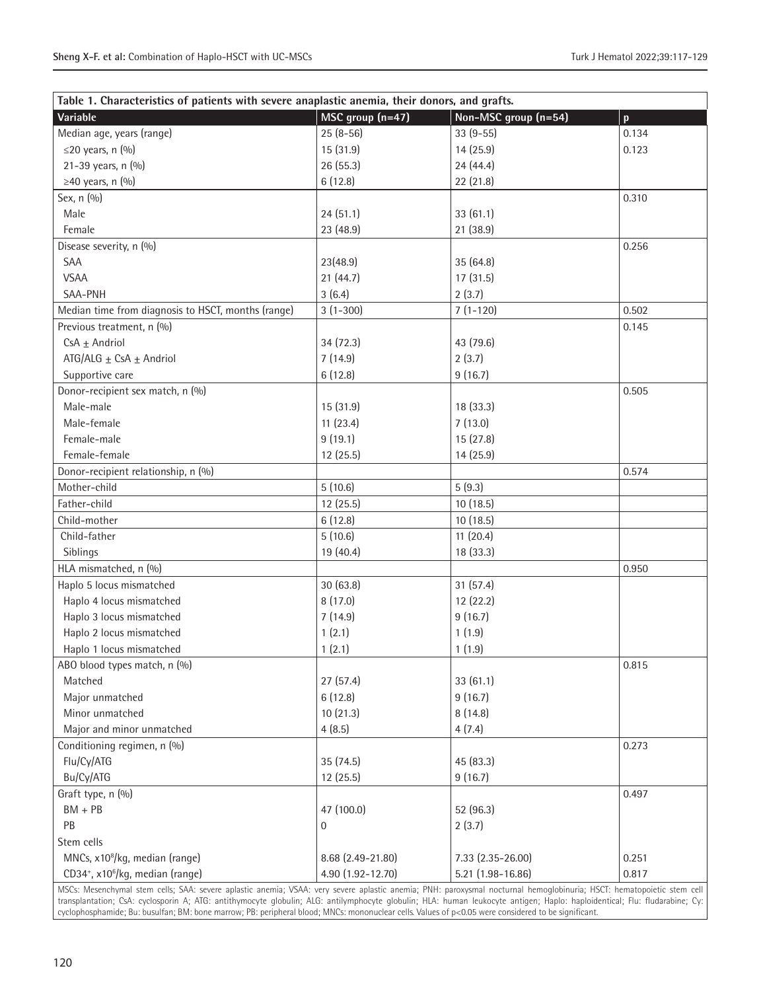| Table 1. Characteristics of patients with severe anaplastic anemia, their donors, and grafts. |                   |                      |              |
|-----------------------------------------------------------------------------------------------|-------------------|----------------------|--------------|
| Variable                                                                                      | MSC group (n=47)  | Non-MSC group (n=54) | $\mathbf{p}$ |
| Median age, years (range)                                                                     | $25(8-56)$        | $33(9-55)$           | 0.134        |
| $\leq$ 20 years, n (%)                                                                        | 15 (31.9)         | 14 (25.9)            | 0.123        |
| 21-39 years, n (%)                                                                            | 26 (55.3)         | 24 (44.4)            |              |
| $\geq$ 40 years, n (%)                                                                        | 6(12.8)           | 22 (21.8)            |              |
| Sex, n (%)                                                                                    |                   |                      | 0.310        |
| Male                                                                                          | 24(51.1)          | 33(61.1)             |              |
| Female                                                                                        | 23 (48.9)         | 21 (38.9)            |              |
| Disease severity, n (%)                                                                       |                   |                      | 0.256        |
| SAA                                                                                           | 23(48.9)          | 35 (64.8)            |              |
| <b>VSAA</b>                                                                                   | 21(44.7)          | 17(31.5)             |              |
| SAA-PNH                                                                                       | 3(6.4)            | 2(3.7)               |              |
| Median time from diagnosis to HSCT, months (range)                                            | $3(1-300)$        | $7(1-120)$           | 0.502        |
| Previous treatment, n (%)                                                                     |                   |                      | 0.145        |
| $CsA \pm Andriol$                                                                             | 34(72.3)          | 43 (79.6)            |              |
| ATG/ALG $\pm$ CsA $\pm$ Andriol                                                               | 7(14.9)           | 2(3.7)               |              |
| Supportive care                                                                               | 6(12.8)           | 9(16.7)              |              |
| Donor-recipient sex match, n (%)                                                              |                   |                      | 0.505        |
| Male-male                                                                                     | 15 (31.9)         | 18 (33.3)            |              |
| Male-female                                                                                   | 11(23.4)          | 7(13.0)              |              |
| Female-male                                                                                   | 9(19.1)           | 15(27.8)             |              |
| Female-female                                                                                 | 12 (25.5)         | 14 (25.9)            |              |
| Donor-recipient relationship, n (%)                                                           |                   |                      | 0.574        |
| Mother-child                                                                                  | 5(10.6)           | 5(9.3)               |              |
| Father-child                                                                                  | 12 (25.5)         | 10(18.5)             |              |
| Child-mother                                                                                  | 6(12.8)           | 10(18.5)             |              |
| Child-father                                                                                  | 5(10.6)           | 11(20.4)             |              |
| Siblings                                                                                      | 19 (40.4)         | 18 (33.3)            |              |
| HLA mismatched, n (%)                                                                         |                   |                      | 0.950        |
| Haplo 5 locus mismatched                                                                      | 30(63.8)          | 31(57.4)             |              |
| Haplo 4 locus mismatched                                                                      | 8(17.0)           | 12 (22.2)            |              |
| Haplo 3 locus mismatched                                                                      | 7(14.9)           | 9(16.7)              |              |
| Haplo 2 locus mismatched                                                                      | 1(2.1)            | 1(1.9)               |              |
| Haplo 1 locus mismatched                                                                      | 1(2.1)            | 1(1.9)               |              |
| ABO blood types match, n (%)                                                                  |                   |                      | 0.815        |
| Matched                                                                                       | 27(57.4)          | 33 (61.1)            |              |
| Major unmatched                                                                               | 6(12.8)           | 9(16.7)              |              |
| Minor unmatched                                                                               | 10(21.3)          | 8(14.8)              |              |
| Major and minor unmatched                                                                     | 4(8.5)            | 4(7.4)               |              |
| Conditioning regimen, n (%)                                                                   |                   |                      | 0.273        |
| Flu/Cy/ATG                                                                                    | 35 (74.5)         | 45 (83.3)            |              |
| Bu/Cy/ATG                                                                                     | 12 (25.5)         | 9(16.7)              |              |
| Graft type, n (%)                                                                             |                   |                      | 0.497        |
| $BM + PB$                                                                                     | 47 (100.0)        | 52 (96.3)            |              |
| PB                                                                                            | $\mathbf{0}$      | 2(3.7)               |              |
| Stem cells                                                                                    |                   |                      |              |
| MNCs, x10 <sup>8</sup> /kg, median (range)                                                    | 8.68 (2.49-21.80) | 7.33 (2.35-26.00)    | 0.251        |
| CD34+, x10 <sup>6</sup> /kg, median (range)                                                   | 4.90 (1.92-12.70) | 5.21 (1.98-16.86)    | 0.817        |

MSCs: Mesenchymal stem cells; SAA: severe aplastic anemia; VSAA: very severe aplastic anemia; PNH: paroxysmal nocturnal hemoglobinuria; HSCT: hematopoietic stem cell transplantation; CsA: cyclosporin A; ATG: antithymocyte globulin; ALG: antilymphocyte globulin; HLA: human leukocyte antigen; Haplo: haploidentical; Flu: fludarabine; Cy: cyclophosphamide; Bu: busulfan; BM: bone marrow; PB: peripheral blood; MNCs: mononuclear cells. Values of p<0.05 were considered to be significant.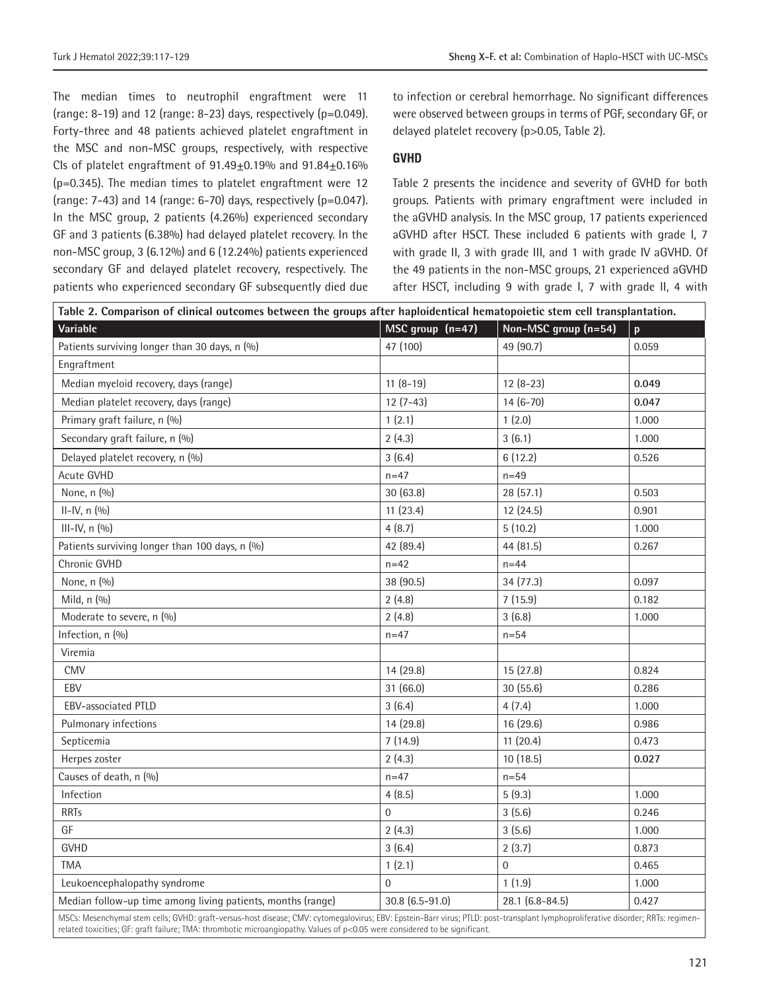The median times to neutrophil engraftment were 11 (range: 8-19) and 12 (range: 8-23) days, respectively ( $p=0.049$ ). Forty-three and 48 patients achieved platelet engraftment in the MSC and non-MSC groups, respectively, with respective CIs of platelet engraftment of 91.49±0.19% and 91.84±0.16% (p=0.345). The median times to platelet engraftment were 12 (range:  $7-43$ ) and 14 (range:  $6-70$ ) days, respectively ( $p=0.047$ ). In the MSC group, 2 patients (4.26%) experienced secondary GF and 3 patients (6.38%) had delayed platelet recovery. In the non-MSC group, 3 (6.12%) and 6 (12.24%) patients experienced secondary GF and delayed platelet recovery, respectively. The patients who experienced secondary GF subsequently died due

to infection or cerebral hemorrhage. No significant differences were observed between groups in terms of PGF, secondary GF, or delayed platelet recovery (p>0.05, Table 2).

#### **GVHD**

Table 2 presents the incidence and severity of GVHD for both groups. Patients with primary engraftment were included in the aGVHD analysis. In the MSC group, 17 patients experienced aGVHD after HSCT. These included 6 patients with grade I, 7 with grade II, 3 with grade III, and 1 with grade IV aGVHD. Of the 49 patients in the non-MSC groups, 21 experienced aGVHD after HSCT, including 9 with grade I, 7 with grade II, 4 with

| Table 2. Comparison of clinical outcomes between the groups after haploidentical hematopoietic stem cell transplantation.                                                                                                                                                                                       |                  |                      |              |  |
|-----------------------------------------------------------------------------------------------------------------------------------------------------------------------------------------------------------------------------------------------------------------------------------------------------------------|------------------|----------------------|--------------|--|
| Variable                                                                                                                                                                                                                                                                                                        | MSC group (n=47) | Non-MSC group (n=54) | $\mathbf{p}$ |  |
| Patients surviving longer than 30 days, n (%)                                                                                                                                                                                                                                                                   | 47 (100)         | 49 (90.7)            | 0.059        |  |
| Engraftment                                                                                                                                                                                                                                                                                                     |                  |                      |              |  |
| Median myeloid recovery, days (range)                                                                                                                                                                                                                                                                           | $11(8-19)$       | $12(8-23)$           | 0.049        |  |
| Median platelet recovery, days (range)                                                                                                                                                                                                                                                                          | $12(7-43)$       | $14(6-70)$           | 0.047        |  |
| Primary graft failure, n (%)                                                                                                                                                                                                                                                                                    | 1(2.1)           | 1(2.0)               | 1.000        |  |
| Secondary graft failure, n (%)                                                                                                                                                                                                                                                                                  | 2(4.3)           | 3(6.1)               | 1.000        |  |
| Delayed platelet recovery, n (%)                                                                                                                                                                                                                                                                                | 3(6.4)           | 6(12.2)              | 0.526        |  |
| Acute GVHD                                                                                                                                                                                                                                                                                                      | $n = 47$         | $n = 49$             |              |  |
| None, n (%)                                                                                                                                                                                                                                                                                                     | 30(63.8)         | 28 (57.1)            | 0.503        |  |
| $II - IV, n (0/0)$                                                                                                                                                                                                                                                                                              | 11(23.4)         | 12 (24.5)            | 0.901        |  |
| $III$ -IV, n $(%)$                                                                                                                                                                                                                                                                                              | 4(8.7)           | 5(10.2)              | 1.000        |  |
| Patients surviving longer than 100 days, n (%)                                                                                                                                                                                                                                                                  | 42 (89.4)        | 44 (81.5)            | 0.267        |  |
| Chronic GVHD                                                                                                                                                                                                                                                                                                    | $n = 42$         | $n = 44$             |              |  |
| None, n (%)                                                                                                                                                                                                                                                                                                     | 38 (90.5)        | 34 (77.3)            | 0.097        |  |
| Mild, n (%)                                                                                                                                                                                                                                                                                                     | 2(4.8)           | 7(15.9)              | 0.182        |  |
| Moderate to severe, n (%)                                                                                                                                                                                                                                                                                       | 2(4.8)           | 3(6.8)               | 1.000        |  |
| Infection, n (%)                                                                                                                                                                                                                                                                                                | $n = 47$         | $n = 54$             |              |  |
| Viremia                                                                                                                                                                                                                                                                                                         |                  |                      |              |  |
| <b>CMV</b>                                                                                                                                                                                                                                                                                                      | 14 (29.8)        | 15(27.8)             | 0.824        |  |
| EBV                                                                                                                                                                                                                                                                                                             | 31 (66.0)        | 30(55.6)             | 0.286        |  |
| <b>EBV-associated PTLD</b>                                                                                                                                                                                                                                                                                      | 3(6.4)           | 4(7.4)               | 1.000        |  |
| Pulmonary infections                                                                                                                                                                                                                                                                                            | 14 (29.8)        | 16 (29.6)            | 0.986        |  |
| Septicemia                                                                                                                                                                                                                                                                                                      | 7(14.9)          | 11(20.4)             | 0.473        |  |
| Herpes zoster                                                                                                                                                                                                                                                                                                   | 2(4.3)           | 10(18.5)             | 0.027        |  |
| Causes of death, n (%)                                                                                                                                                                                                                                                                                          | $n = 47$         | $n = 54$             |              |  |
| Infection                                                                                                                                                                                                                                                                                                       | 4(8.5)           | 5(9.3)               | 1.000        |  |
| <b>RRTs</b>                                                                                                                                                                                                                                                                                                     | $\boldsymbol{0}$ | 3(5.6)               | 0.246        |  |
| GF                                                                                                                                                                                                                                                                                                              | 2(4.3)           | 3(5.6)               | 1.000        |  |
| <b>GVHD</b>                                                                                                                                                                                                                                                                                                     | 3(6.4)           | 2(3.7)               | 0.873        |  |
| <b>TMA</b>                                                                                                                                                                                                                                                                                                      | 1(2.1)           | $\overline{0}$       | 0.465        |  |
| Leukoencephalopathy syndrome                                                                                                                                                                                                                                                                                    | $\Omega$         | 1(1.9)               | 1.000        |  |
| Median follow-up time among living patients, months (range)                                                                                                                                                                                                                                                     | 30.8 (6.5-91.0)  | 28.1 (6.8-84.5)      | 0.427        |  |
| MSCs: Mesenchymal stem cells; GVHD: graft-versus-host disease; CMV: cytomegalovirus; EBV: Epstein-Barr virus; PTLD: post-transplant lymphoproliferative disorder; RRTs: regimen-<br>related toxicities; GF: graft failure; TMA: thrombotic microangiopathy. Values of p<0.05 were considered to be significant. |                  |                      |              |  |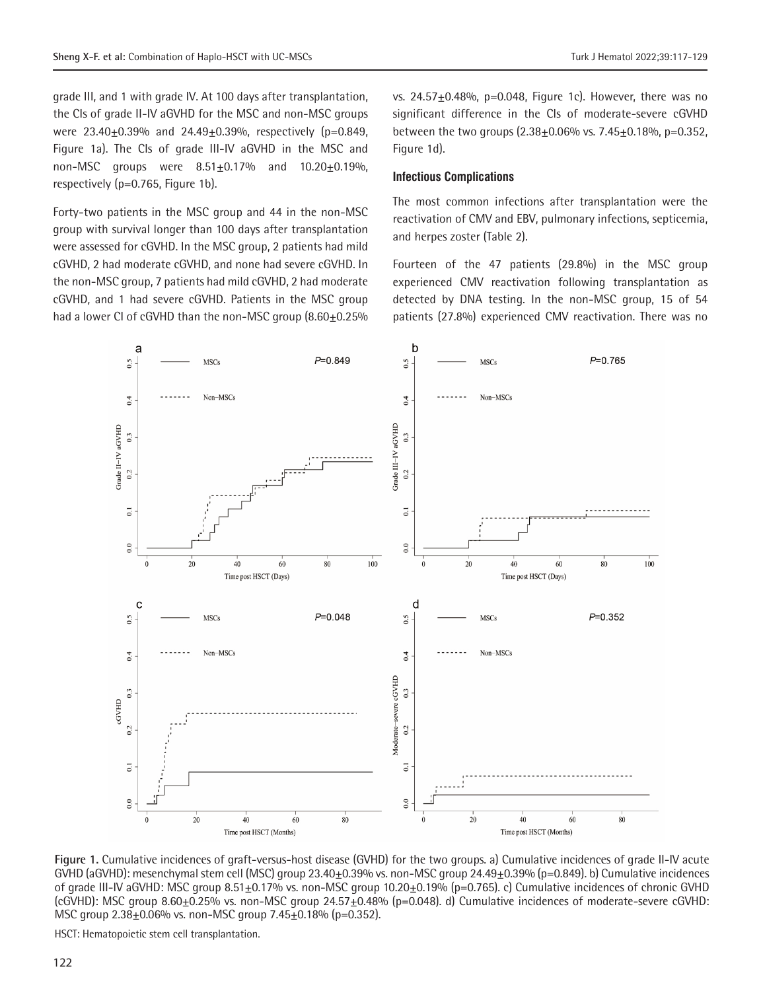grade III, and 1 with grade IV. At 100 days after transplantation, the CIs of grade II-IV aGVHD for the MSC and non-MSC groups were 23.40±0.39% and 24.49±0.39%, respectively (p=0.849, Figure 1a). The CIs of grade III-IV aGVHD in the MSC and non-MSC groups were  $8.51 \pm 0.17\%$  and  $10.20 \pm 0.19\%$ , respectively (p=0.765, Figure 1b).

Forty-two patients in the MSC group and 44 in the non-MSC group with survival longer than 100 days after transplantation were assessed for cGVHD. In the MSC group, 2 patients had mild cGVHD, 2 had moderate cGVHD, and none had severe cGVHD. In the non-MSC group, 7 patients had mild cGVHD, 2 had moderate cGVHD, and 1 had severe cGVHD. Patients in the MSC group had a lower CI of cGVHD than the non-MSC group (8.60±0.25%

vs.  $24.57 \pm 0.48$ %, p=0.048, Figure 1c). However, there was no significant difference in the CIs of moderate-severe cGVHD between the two groups (2.38±0.06% vs. 7.45±0.18%, p=0.352, Figure 1d).

#### **Infectious Complications**

The most common infections after transplantation were the reactivation of CMV and EBV, pulmonary infections, septicemia, and herpes zoster (Table 2).

Fourteen of the 47 patients (29.8%) in the MSC group experienced CMV reactivation following transplantation as detected by DNA testing. In the non-MSC group, 15 of 54 patients (27.8%) experienced CMV reactivation. There was no



**Figure 1.** Cumulative incidences of graft-versus-host disease (GVHD) for the two groups. a) Cumulative incidences of grade II-IV acute GVHD (aGVHD): mesenchymal stem cell (MSC) group  $23.40\pm0.39\%$  vs. non-MSC group  $24.49\pm0.39\%$  (p=0.849). b) Cumulative incidences of grade III-IV aGVHD: MSC group 8.51 $\pm$ 0.17% vs. non-MSC group 10.20 $\pm$ 0.19% (p=0.765). c) Cumulative incidences of chronic GVHD  $(cGVHD)$ : MSC group 8.60+0.25% vs. non-MSC group 24.57+0.48% (p=0.048). d) Cumulative incidences of moderate-severe cGVHD: MSC group 2.38±0.06% vs. non-MSC group 7.45±0.18% (p=0.352).

HSCT: Hematopoietic stem cell transplantation.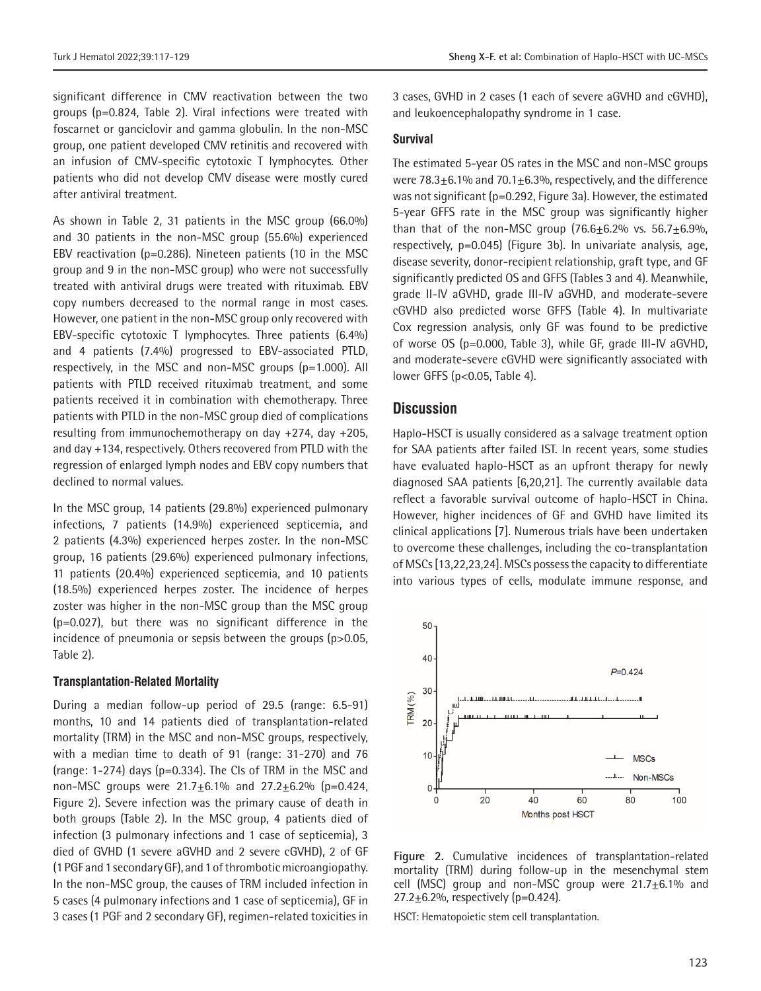significant difference in CMV reactivation between the two groups (p=0.824, Table 2). Viral infections were treated with foscarnet or ganciclovir and gamma globulin. In the non-MSC group, one patient developed CMV retinitis and recovered with an infusion of CMV-specific cytotoxic T lymphocytes. Other patients who did not develop CMV disease were mostly cured after antiviral treatment.

As shown in Table 2, 31 patients in the MSC group (66.0%) and 30 patients in the non-MSC group (55.6%) experienced EBV reactivation (p=0.286). Nineteen patients (10 in the MSC group and 9 in the non-MSC group) who were not successfully treated with antiviral drugs were treated with rituximab. EBV copy numbers decreased to the normal range in most cases. However, one patient in the non-MSC group only recovered with EBV-specific cytotoxic T lymphocytes. Three patients (6.4%) and 4 patients (7.4%) progressed to EBV-associated PTLD, respectively, in the MSC and non-MSC groups (p=1.000). All patients with PTLD received rituximab treatment, and some patients received it in combination with chemotherapy. Three patients with PTLD in the non-MSC group died of complications resulting from immunochemotherapy on day +274, day +205, and day +134, respectively. Others recovered from PTLD with the regression of enlarged lymph nodes and EBV copy numbers that declined to normal values.

In the MSC group, 14 patients (29.8%) experienced pulmonary infections, 7 patients (14.9%) experienced septicemia, and 2 patients (4.3%) experienced herpes zoster. In the non-MSC group, 16 patients (29.6%) experienced pulmonary infections, 11 patients (20.4%) experienced septicemia, and 10 patients (18.5%) experienced herpes zoster. The incidence of herpes zoster was higher in the non-MSC group than the MSC group (p=0.027), but there was no significant difference in the incidence of pneumonia or sepsis between the groups (p>0.05, Table 2).

#### **Transplantation-Related Mortality**

During a median follow-up period of 29.5 (range: 6.5-91) months, 10 and 14 patients died of transplantation-related mortality (TRM) in the MSC and non-MSC groups, respectively, with a median time to death of 91 (range: 31-270) and 76 (range: 1-274) days (p=0.334). The CIs of TRM in the MSC and non-MSC groups were  $21.7 \pm 6.1\%$  and  $27.2 \pm 6.2\%$  (p=0.424, Figure 2). Severe infection was the primary cause of death in both groups (Table 2). In the MSC group, 4 patients died of infection (3 pulmonary infections and 1 case of septicemia), 3 died of GVHD (1 severe aGVHD and 2 severe cGVHD), 2 of GF (1 PGF and 1 secondary GF), and 1 of thrombotic microangiopathy. In the non-MSC group, the causes of TRM included infection in 5 cases (4 pulmonary infections and 1 case of septicemia), GF in 3 cases (1 PGF and 2 secondary GF), regimen-related toxicities in

3 cases, GVHD in 2 cases (1 each of severe aGVHD and cGVHD), and leukoencephalopathy syndrome in 1 case.

#### **Survival**

The estimated 5-year OS rates in the MSC and non-MSC groups were  $78.3\pm6.1\%$  and  $70.1\pm6.3\%$ , respectively, and the difference was not significant (p=0.292, Figure 3a). However, the estimated 5-year GFFS rate in the MSC group was significantly higher than that of the non-MSC group  $(76.6+6.2\%$  vs.  $56.7+6.9\%$ , respectively, p=0.045) (Figure 3b). In univariate analysis, age, disease severity, donor-recipient relationship, graft type, and GF significantly predicted OS and GFFS (Tables 3 and 4). Meanwhile, grade II-IV aGVHD, grade III-IV aGVHD, and moderate-severe cGVHD also predicted worse GFFS (Table 4). In multivariate Cox regression analysis, only GF was found to be predictive of worse OS (p=0.000, Table 3), while GF, grade III-IV aGVHD, and moderate-severe cGVHD were significantly associated with lower GFFS (p<0.05, Table 4).

# **Discussion**

Haplo-HSCT is usually considered as a salvage treatment option for SAA patients after failed IST. In recent years, some studies have evaluated haplo-HSCT as an upfront therapy for newly diagnosed SAA patients [6,20,21]. The currently available data reflect a favorable survival outcome of haplo-HSCT in China. However, higher incidences of GF and GVHD have limited its clinical applications [7]. Numerous trials have been undertaken to overcome these challenges, including the co-transplantation of MSCs [13,22,23,24]. MSCs possess the capacity to differentiate into various types of cells, modulate immune response, and



**Figure 2.** Cumulative incidences of transplantation-related mortality (TRM) during follow-up in the mesenchymal stem cell (MSC) group and non-MSC group were  $21.7 \pm 6.1\%$  and 27.2 $\pm$ 6.2%, respectively (p=0.424).

HSCT: Hematopoietic stem cell transplantation.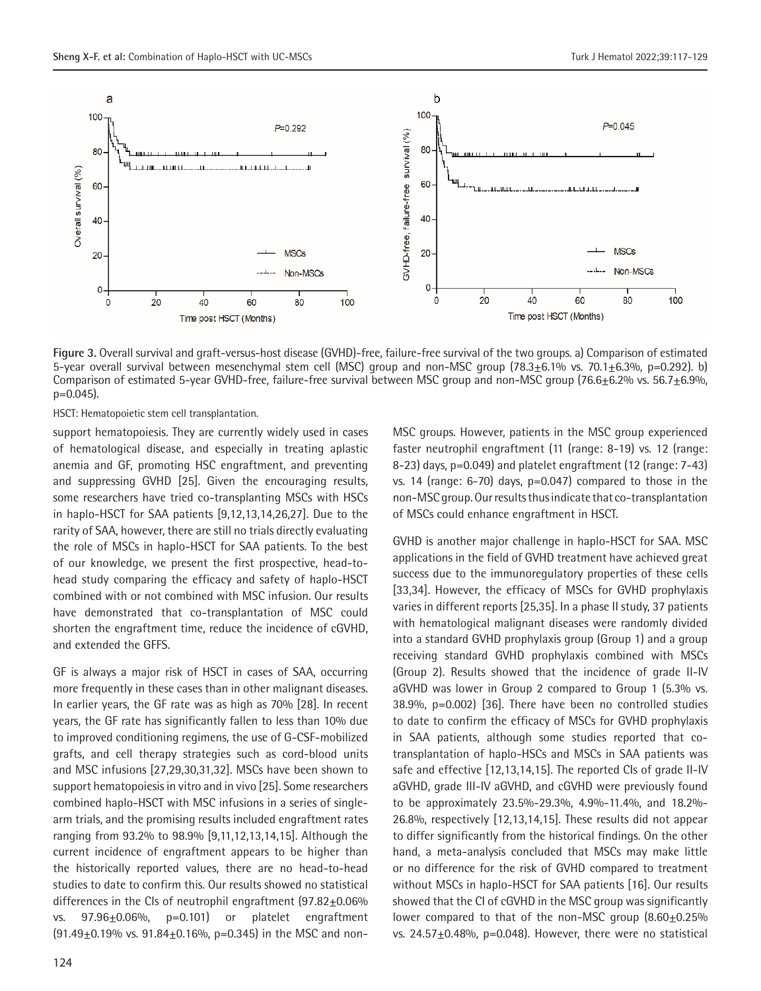

**Figure 3.** Overall survival and graft-versus-host disease (GVHD)-free, failure-free survival of the two groups. a) Comparison of estimated 5-year overall survival between mesenchymal stem cell (MSC) group and non-MSC group (78.3 $\pm$ 6.1% vs. 70.1 $\pm$ 6.3%, p=0.292). b) Comparison of estimated 5-year GVHD-free, failure-free survival between MSC group and non-MSC group (76.6 $\pm$ 6.2% vs. 56.7 $\pm$ 6.9%,  $p=0.045$ ).

HSCT: Hematopoietic stem cell transplantation.

support hematopoiesis. They are currently widely used in cases of hematological disease, and especially in treating aplastic anemia and GF, promoting HSC engraftment, and preventing and suppressing GVHD [25]. Given the encouraging results, some researchers have tried co-transplanting MSCs with HSCs in haplo-HSCT for SAA patients [9,12,13,14,26,27]. Due to the rarity of SAA, however, there are still no trials directly evaluating the role of MSCs in haplo-HSCT for SAA patients. To the best of our knowledge, we present the first prospective, head-tohead study comparing the efficacy and safety of haplo-HSCT combined with or not combined with MSC infusion. Our results have demonstrated that co-transplantation of MSC could shorten the engraftment time, reduce the incidence of cGVHD, and extended the GFFS.

GF is always a major risk of HSCT in cases of SAA, occurring more frequently in these cases than in other malignant diseases. In earlier years, the GF rate was as high as 70% [28]. In recent years, the GF rate has significantly fallen to less than 10% due to improved conditioning regimens, the use of G-CSF-mobilized grafts, and cell therapy strategies such as cord-blood units and MSC infusions [27,29,30,31,32]. MSCs have been shown to support hematopoiesis in vitro and in vivo [25]. Some researchers combined haplo-HSCT with MSC infusions in a series of singlearm trials, and the promising results included engraftment rates ranging from 93.2% to 98.9% [9,11,12,13,14,15]. Although the current incidence of engraftment appears to be higher than the historically reported values, there are no head-to-head studies to date to confirm this. Our results showed no statistical differences in the CIs of neutrophil engraftment (97.82+0.06% vs.  $97.96\pm0.06\%$ , p=0.101) or platelet engraftment  $(91.49\pm0.19\%$  vs.  $91.84\pm0.16\%$ , p=0.345) in the MSC and nonMSC groups. However, patients in the MSC group experienced faster neutrophil engraftment (11 (range: 8-19) vs. 12 (range: 8-23) days, p=0.049) and platelet engraftment (12 (range: 7-43) vs. 14 (range: 6-70) days, p=0.047) compared to those in the non-MSC group. Our results thus indicate that co-transplantation of MSCs could enhance engraftment in HSCT.

GVHD is another major challenge in haplo-HSCT for SAA. MSC applications in the field of GVHD treatment have achieved great success due to the immunoregulatory properties of these cells [33,34]. However, the efficacy of MSCs for GVHD prophylaxis varies in different reports [25,35]. In a phase II study, 37 patients with hematological malignant diseases were randomly divided into a standard GVHD prophylaxis group (Group 1) and a group receiving standard GVHD prophylaxis combined with MSCs (Group 2). Results showed that the incidence of grade II-IV aGVHD was lower in Group 2 compared to Group 1 (5.3% vs. 38.9%, p=0.002) [36]. There have been no controlled studies to date to confirm the efficacy of MSCs for GVHD prophylaxis in SAA patients, although some studies reported that cotransplantation of haplo-HSCs and MSCs in SAA patients was safe and effective [12,13,14,15]. The reported CIs of grade II-IV aGVHD, grade III-IV aGVHD, and cGVHD were previously found to be approximately 23.5%-29.3%, 4.9%-11.4%, and 18.2%- 26.8%, respectively [12,13,14,15]. These results did not appear to differ significantly from the historical findings. On the other hand, a meta-analysis concluded that MSCs may make little or no difference for the risk of GVHD compared to treatment without MSCs in haplo-HSCT for SAA patients [16]. Our results showed that the CI of cGVHD in the MSC group was significantly lower compared to that of the non-MSC group  $(8.60\pm0.25\%)$ vs.  $24.57 \pm 0.48\%$ , p=0.048). However, there were no statistical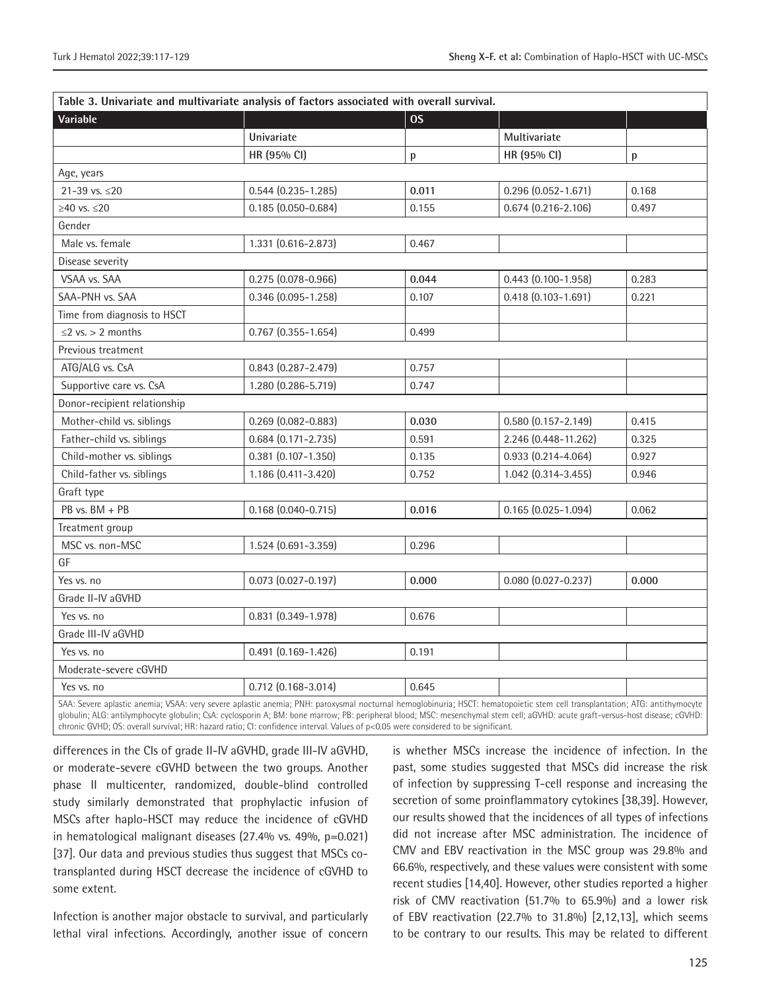|                                                                                                                                                                             | Table 3. Univariate and multivariate analysis of factors associated with overall survival. |           |                           |       |
|-----------------------------------------------------------------------------------------------------------------------------------------------------------------------------|--------------------------------------------------------------------------------------------|-----------|---------------------------|-------|
| Variable                                                                                                                                                                    |                                                                                            | <b>OS</b> |                           |       |
|                                                                                                                                                                             | Univariate                                                                                 |           | Multivariate              |       |
|                                                                                                                                                                             | HR (95% CI)                                                                                | p         | HR (95% CI)               | p     |
| Age, years                                                                                                                                                                  |                                                                                            |           |                           |       |
| 21-39 vs. $\leq$ 20                                                                                                                                                         | $0.544$ (0.235-1.285)                                                                      | 0.011     | $0.296(0.052 - 1.671)$    | 0.168 |
| $≥40$ vs. $≤20$                                                                                                                                                             | $0.185(0.050 - 0.684)$                                                                     | 0.155     | $0.674$ (0.216-2.106)     | 0.497 |
| Gender                                                                                                                                                                      |                                                                                            |           |                           |       |
| Male vs. female                                                                                                                                                             | 1.331 (0.616-2.873)                                                                        | 0.467     |                           |       |
| Disease severity                                                                                                                                                            |                                                                                            |           |                           |       |
| VSAA vs. SAA                                                                                                                                                                | $0.275(0.078 - 0.966)$                                                                     | 0.044     | $0.443(0.100 - 1.958)$    | 0.283 |
| SAA-PNH vs. SAA                                                                                                                                                             | $0.346$ $(0.095 - 1.258)$                                                                  | 0.107     | $0.418(0.103 - 1.691)$    | 0.221 |
| Time from diagnosis to HSCT                                                                                                                                                 |                                                                                            |           |                           |       |
| $\leq$ 2 vs. > 2 months                                                                                                                                                     | $0.767$ $(0.355 - 1.654)$                                                                  | 0.499     |                           |       |
| Previous treatment                                                                                                                                                          |                                                                                            |           |                           |       |
| ATG/ALG vs. CsA                                                                                                                                                             | $0.843$ $(0.287 - 2.479)$                                                                  | 0.757     |                           |       |
| Supportive care vs. CsA                                                                                                                                                     | 1.280 (0.286-5.719)                                                                        | 0.747     |                           |       |
| Donor-recipient relationship                                                                                                                                                |                                                                                            |           |                           |       |
| Mother-child vs. siblings                                                                                                                                                   | $0.269$ $(0.082 - 0.883)$                                                                  | 0.030     | $0.580(0.157 - 2.149)$    | 0.415 |
| Father-child vs. siblings                                                                                                                                                   | $0.684$ (0.171-2.735)                                                                      | 0.591     | 2.246 (0.448-11.262)      | 0.325 |
| Child-mother vs. siblings                                                                                                                                                   | $0.381$ $(0.107 - 1.350)$                                                                  | 0.135     | $0.933(0.214 - 4.064)$    | 0.927 |
| Child-father vs. siblings                                                                                                                                                   | 1.186 (0.411-3.420)                                                                        | 0.752     | 1.042 (0.314-3.455)       | 0.946 |
| Graft type                                                                                                                                                                  |                                                                                            |           |                           |       |
| $PB$ vs. $BM + PB$                                                                                                                                                          | $0.168$ $(0.040 - 0.715)$                                                                  | 0.016     | $0.165(0.025 - 1.094)$    | 0.062 |
| Treatment group                                                                                                                                                             |                                                                                            |           |                           |       |
| MSC vs. non-MSC                                                                                                                                                             | 1.524 (0.691-3.359)                                                                        | 0.296     |                           |       |
| GF                                                                                                                                                                          |                                                                                            |           |                           |       |
| Yes vs. no                                                                                                                                                                  | $0.073$ $(0.027 - 0.197)$                                                                  | 0.000     | $0.080$ $(0.027 - 0.237)$ | 0.000 |
| Grade II-IV aGVHD                                                                                                                                                           |                                                                                            |           |                           |       |
| Yes vs. no                                                                                                                                                                  | $0.831$ $(0.349 - 1.978)$                                                                  | 0.676     |                           |       |
| Grade III-IV aGVHD                                                                                                                                                          |                                                                                            |           |                           |       |
| Yes vs. no                                                                                                                                                                  | $0.491(0.169 - 1.426)$                                                                     | 0.191     |                           |       |
| Moderate-severe cGVHD                                                                                                                                                       |                                                                                            |           |                           |       |
| Yes vs. no                                                                                                                                                                  | $0.712(0.168 - 3.014)$                                                                     | 0.645     |                           |       |
| SAA: Severe aplastic anemia; VSAA: very severe aplastic anemia; PNH: paroxysmal nocturnal hemoglobinuria; HSCT: hematopoietic stem cell transplantation; ATG: antithymocyte |                                                                                            |           |                           |       |

globulin; ALG: antilymphocyte globulin; CsA: cyclosporin A; BM: bone marrow; PB: peripheral blood; MSC: mesenchymal stem cell; aGVHD: acute graft-versus-host disease; cGVHD: chronic GVHD; OS: overall survival; HR: hazard ratio; CI: confidence interval. Values of p<0.05 were considered to be significant.

differences in the CIs of grade II-IV aGVHD, grade III-IV aGVHD, or moderate-severe cGVHD between the two groups. Another phase II multicenter, randomized, double-blind controlled study similarly demonstrated that prophylactic infusion of MSCs after haplo-HSCT may reduce the incidence of cGVHD in hematological malignant diseases (27.4% vs. 49%, p=0.021) [37]. Our data and previous studies thus suggest that MSCs cotransplanted during HSCT decrease the incidence of cGVHD to some extent.

Infection is another major obstacle to survival, and particularly lethal viral infections. Accordingly, another issue of concern

is whether MSCs increase the incidence of infection. In the past, some studies suggested that MSCs did increase the risk of infection by suppressing T-cell response and increasing the secretion of some proinflammatory cytokines [38,39]. However, our results showed that the incidences of all types of infections did not increase after MSC administration. The incidence of CMV and EBV reactivation in the MSC group was 29.8% and 66.6%, respectively, and these values were consistent with some recent studies [14,40]. However, other studies reported a higher risk of CMV reactivation (51.7% to 65.9%) and a lower risk of EBV reactivation (22.7% to 31.8%) [2,12,13], which seems to be contrary to our results. This may be related to different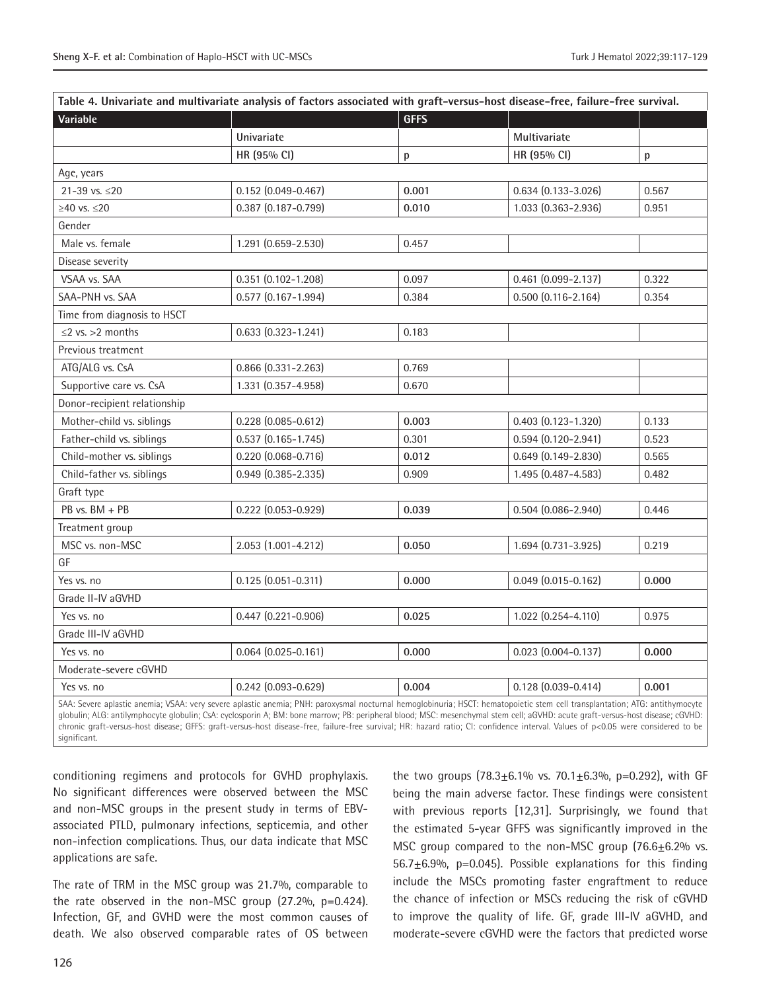| Variable                     |                           | <b>GFFS</b> |                           |       |
|------------------------------|---------------------------|-------------|---------------------------|-------|
|                              | Univariate                |             | Multivariate              |       |
|                              | HR (95% CI)               | p           | HR (95% CI)               | p     |
| Age, years                   |                           |             |                           |       |
| 21-39 vs. ≤20                | $0.152$ $(0.049 - 0.467)$ | 0.001       | $0.634(0.133 - 3.026)$    | 0.567 |
| $≥40$ vs. $≤20$              | $0.387(0.187 - 0.799)$    | 0.010       | 1.033 (0.363-2.936)       | 0.951 |
| Gender                       |                           |             |                           |       |
| Male vs. female              | 1.291 (0.659-2.530)       | 0.457       |                           |       |
| Disease severity             |                           |             |                           |       |
| VSAA vs. SAA                 | $0.351$ $(0.102 - 1.208)$ | 0.097       | $0.461$ $(0.099 - 2.137)$ | 0.322 |
| SAA-PNH vs. SAA              | $0.577$ $(0.167 - 1.994)$ | 0.384       | $0.500(0.116 - 2.164)$    | 0.354 |
| Time from diagnosis to HSCT  |                           |             |                           |       |
| $\leq$ vs. > 2 months        | $0.633(0.323 - 1.241)$    | 0.183       |                           |       |
| Previous treatment           |                           |             |                           |       |
| ATG/ALG vs. CsA              | $0.866$ $(0.331 - 2.263)$ | 0.769       |                           |       |
| Supportive care vs. CsA      | 1.331 (0.357-4.958)       | 0.670       |                           |       |
| Donor-recipient relationship |                           |             |                           |       |
| Mother-child vs. siblings    | $0.228(0.085 - 0.612)$    | 0.003       | $0.403$ $(0.123 - 1.320)$ | 0.133 |
| Father-child vs. siblings    | $0.537$ $(0.165 - 1.745)$ | 0.301       | $0.594(0.120 - 2.941)$    | 0.523 |
| Child-mother vs. siblings    | $0.220(0.068 - 0.716)$    | 0.012       | $0.649(0.149 - 2.830)$    | 0.565 |
| Child-father vs. siblings    | $0.949(0.385 - 2.335)$    | 0.909       | 1.495 (0.487-4.583)       | 0.482 |
| Graft type                   |                           |             |                           |       |
| PB vs. BM + PB               | $0.222$ (0.053-0.929)     | 0.039       | $0.504(0.086 - 2.940)$    | 0.446 |
| Treatment group              |                           |             |                           |       |
| MSC vs. non-MSC              | 2.053 (1.001-4.212)       | 0.050       | 1.694 (0.731-3.925)       | 0.219 |
| GF                           |                           |             |                           |       |
| Yes vs. no                   | $0.125(0.051 - 0.311)$    | 0.000       | $0.049$ $(0.015 - 0.162)$ | 0.000 |
| Grade II-IV aGVHD            |                           |             |                           |       |
| Yes vs. no                   | $0.447$ $(0.221 - 0.906)$ | 0.025       | 1.022 (0.254-4.110)       | 0.975 |
| Grade III-IV aGVHD           |                           |             |                           |       |
| Yes vs. no                   | $0.064$ $(0.025 - 0.161)$ | 0.000       | $0.023$ (0.004-0.137)     | 0.000 |
| Moderate-severe cGVHD        |                           |             |                           |       |
| Yes vs. no                   | $0.242$ (0.093-0.629)     | 0.004       | $0.128(0.039 - 0.414)$    | 0.001 |

globulin; ALG: antilymphocyte globulin; CsA: cyclosporin A; BM: bone marrow; PB: peripheral blood; MSC: mesenchymal stem cell; aGVHD: acute graft-versus-host disease; cGVHD: chronic graft-versus-host disease; GFFS: graft-versus-host disease-free, failure-free survival; HR: hazard ratio; CI: confidence interval. Values of p<0.05 were considered to be significant.

conditioning regimens and protocols for GVHD prophylaxis. No significant differences were observed between the MSC and non-MSC groups in the present study in terms of EBVassociated PTLD, pulmonary infections, septicemia, and other non-infection complications. Thus, our data indicate that MSC applications are safe.

The rate of TRM in the MSC group was 21.7%, comparable to the rate observed in the non-MSC group  $(27.2\%), p=0.424$ ). Infection, GF, and GVHD were the most common causes of death. We also observed comparable rates of OS between

the two groups  $(78.3 \pm 6.1\% \text{ vs. } 70.1 \pm 6.3\% \text{, } p=0.292)$ , with GF being the main adverse factor. These findings were consistent with previous reports [12,31]. Surprisingly, we found that the estimated 5-year GFFS was significantly improved in the MSC group compared to the non-MSC group (76.6±6.2% vs. 56.7 $\pm$ 6.9%, p=0.045). Possible explanations for this finding include the MSCs promoting faster engraftment to reduce the chance of infection or MSCs reducing the risk of cGVHD to improve the quality of life. GF, grade III-IV aGVHD, and moderate-severe cGVHD were the factors that predicted worse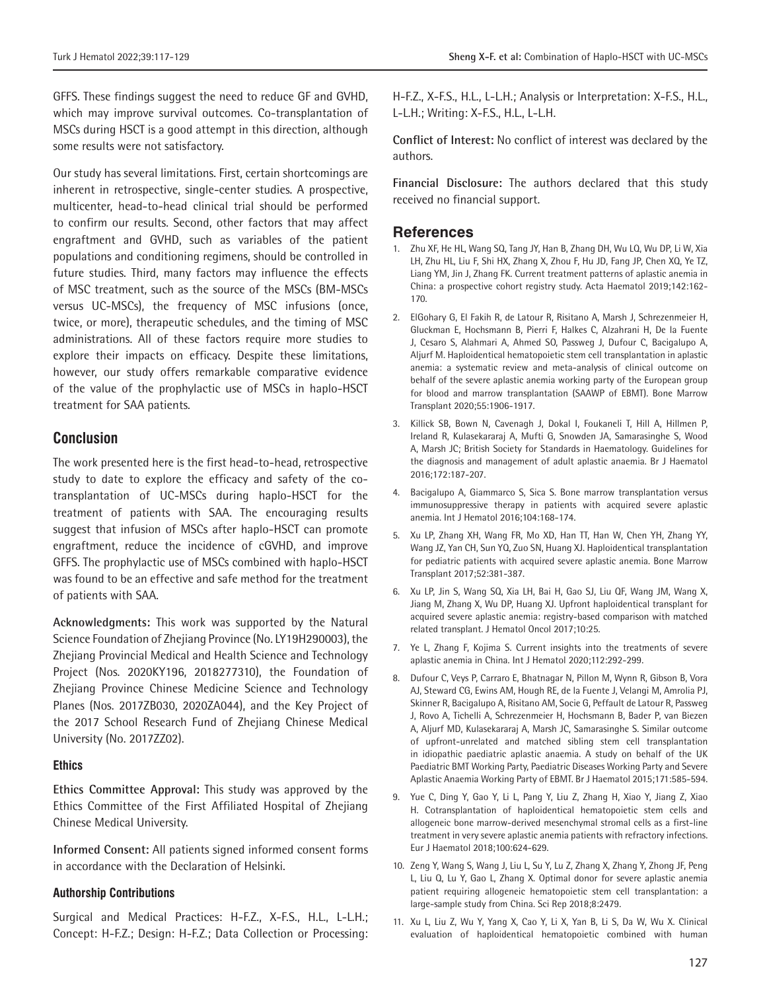GFFS. These findings suggest the need to reduce GF and GVHD, which may improve survival outcomes. Co-transplantation of MSCs during HSCT is a good attempt in this direction, although some results were not satisfactory.

Our study has several limitations. First, certain shortcomings are inherent in retrospective, single-center studies. A prospective, multicenter, head-to-head clinical trial should be performed to confirm our results. Second, other factors that may affect engraftment and GVHD, such as variables of the patient populations and conditioning regimens, should be controlled in future studies. Third, many factors may influence the effects of MSC treatment, such as the source of the MSCs (BM-MSCs versus UC-MSCs), the frequency of MSC infusions (once, twice, or more), therapeutic schedules, and the timing of MSC administrations. All of these factors require more studies to explore their impacts on efficacy. Despite these limitations, however, our study offers remarkable comparative evidence of the value of the prophylactic use of MSCs in haplo-HSCT treatment for SAA patients.

# **Conclusion**

The work presented here is the first head-to-head, retrospective study to date to explore the efficacy and safety of the cotransplantation of UC-MSCs during haplo-HSCT for the treatment of patients with SAA. The encouraging results suggest that infusion of MSCs after haplo-HSCT can promote engraftment, reduce the incidence of cGVHD, and improve GFFS. The prophylactic use of MSCs combined with haplo-HSCT was found to be an effective and safe method for the treatment of patients with SAA.

**Acknowledgments:** This work was supported by the Natural Science Foundation of Zhejiang Province (No. LY19H290003), the Zhejiang Provincial Medical and Health Science and Technology Project (Nos. 2020KY196, 2018277310), the Foundation of Zhejiang Province Chinese Medicine Science and Technology Planes (Nos. 2017ZB030, 2020ZA044), and the Key Project of the 2017 School Research Fund of Zhejiang Chinese Medical University (No. 2017ZZ02).

#### **Ethics**

**Ethics Committee Approval:** This study was approved by the Ethics Committee of the First Affiliated Hospital of Zhejiang Chinese Medical University.

**Informed Consent:** All patients signed informed consent forms in accordance with the Declaration of Helsinki.

#### **Authorship Contributions**

Surgical and Medical Practices: H-F.Z., X-F.S., H.L., L-L.H.; Concept: H-F.Z.; Design: H-F.Z.; Data Collection or Processing: H-F.Z., X-F.S., H.L., L-L.H.; Analysis or Interpretation: X-F.S., H.L., L-L.H.; Writing: X-F.S., H.L., L-L.H.

**Conflict of Interest:** No conflict of interest was declared by the authors.

**Financial Disclosure:** The authors declared that this study received no financial support.

### **References**

- 1. Zhu XF, He HL, Wang SQ, Tang JY, Han B, Zhang DH, Wu LQ, Wu DP, Li W, Xia LH, Zhu HL, Liu F, Shi HX, Zhang X, Zhou F, Hu JD, Fang JP, Chen XQ, Ye TZ, Liang YM, Jin J, Zhang FK. Current treatment patterns of aplastic anemia in China: a prospective cohort registry study. Acta Haematol 2019;142:162- 170.
- 2. ElGohary G, El Fakih R, de Latour R, Risitano A, Marsh J, Schrezenmeier H, Gluckman E, Hochsmann B, Pierri F, Halkes C, Alzahrani H, De la Fuente J, Cesaro S, Alahmari A, Ahmed SO, Passweg J, Dufour C, Bacigalupo A, Aljurf M. Haploidentical hematopoietic stem cell transplantation in aplastic anemia: a systematic review and meta-analysis of clinical outcome on behalf of the severe aplastic anemia working party of the European group for blood and marrow transplantation (SAAWP of EBMT). Bone Marrow Transplant 2020;55:1906-1917.
- 3. Killick SB, Bown N, Cavenagh J, Dokal I, Foukaneli T, Hill A, Hillmen P, Ireland R, Kulasekararaj A, Mufti G, Snowden JA, Samarasinghe S, Wood A, Marsh JC; British Society for Standards in Haematology. Guidelines for the diagnosis and management of adult aplastic anaemia. Br J Haematol 2016;172:187-207.
- 4. Bacigalupo A, Giammarco S, Sica S. Bone marrow transplantation versus immunosuppressive therapy in patients with acquired severe aplastic anemia. Int J Hematol 2016;104:168-174.
- 5. Xu LP, Zhang XH, Wang FR, Mo XD, Han TT, Han W, Chen YH, Zhang YY, Wang JZ, Yan CH, Sun YQ, Zuo SN, Huang XJ. Haploidentical transplantation for pediatric patients with acquired severe aplastic anemia. Bone Marrow Transplant 2017;52:381-387.
- 6. Xu LP, Jin S, Wang SQ, Xia LH, Bai H, Gao SJ, Liu QF, Wang JM, Wang X, Jiang M, Zhang X, Wu DP, Huang XJ. Upfront haploidentical transplant for acquired severe aplastic anemia: registry-based comparison with matched related transplant. J Hematol Oncol 2017;10:25.
- 7. Ye L, Zhang F, Kojima S. Current insights into the treatments of severe aplastic anemia in China. Int J Hematol 2020;112:292-299.
- 8. Dufour C, Veys P, Carraro E, Bhatnagar N, Pillon M, Wynn R, Gibson B, Vora AJ, Steward CG, Ewins AM, Hough RE, de la Fuente J, Velangi M, Amrolia PJ, Skinner R, Bacigalupo A, Risitano AM, Socie G, Peffault de Latour R, Passweg J, Rovo A, Tichelli A, Schrezenmeier H, Hochsmann B, Bader P, van Biezen A, Aljurf MD, Kulasekararaj A, Marsh JC, Samarasinghe S. Similar outcome of upfront-unrelated and matched sibling stem cell transplantation in idiopathic paediatric aplastic anaemia. A study on behalf of the UK Paediatric BMT Working Party, Paediatric Diseases Working Party and Severe Aplastic Anaemia Working Party of EBMT. Br J Haematol 2015;171:585-594.
- 9. Yue C, Ding Y, Gao Y, Li L, Pang Y, Liu Z, Zhang H, Xiao Y, Jiang Z, Xiao H. Cotransplantation of haploidentical hematopoietic stem cells and allogeneic bone marrow-derived mesenchymal stromal cells as a first-line treatment in very severe aplastic anemia patients with refractory infections. Eur J Haematol 2018;100:624-629.
- 10. Zeng Y, Wang S, Wang J, Liu L, Su Y, Lu Z, Zhang X, Zhang Y, Zhong JF, Peng L, Liu Q, Lu Y, Gao L, Zhang X. Optimal donor for severe aplastic anemia patient requiring allogeneic hematopoietic stem cell transplantation: a large-sample study from China. Sci Rep 2018;8:2479.
- 11. Xu L, Liu Z, Wu Y, Yang X, Cao Y, Li X, Yan B, Li S, Da W, Wu X. Clinical evaluation of haploidentical hematopoietic combined with human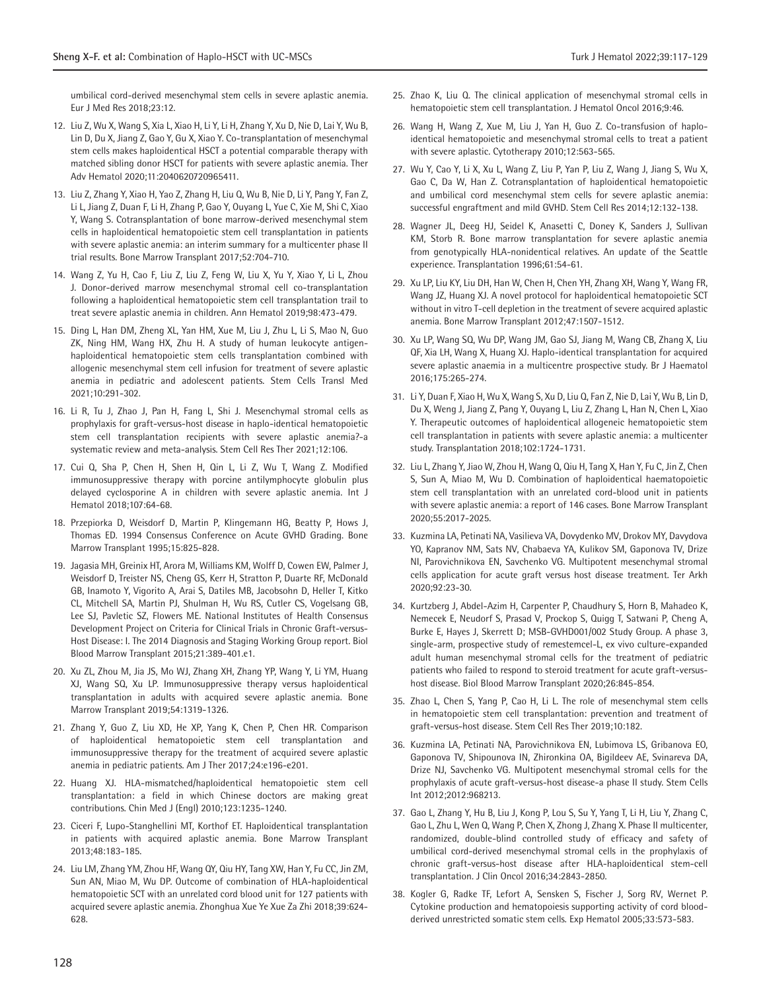umbilical cord-derived mesenchymal stem cells in severe aplastic anemia. Eur J Med Res 2018;23:12.

- 12. Liu Z, Wu X, Wang S, Xia L, Xiao H, Li Y, Li H, Zhang Y, Xu D, Nie D, Lai Y, Wu B, Lin D, Du X, Jiang Z, Gao Y, Gu X, Xiao Y. Co-transplantation of mesenchymal stem cells makes haploidentical HSCT a potential comparable therapy with matched sibling donor HSCT for patients with severe aplastic anemia. Ther Adv Hematol 2020;11:2040620720965411.
- 13. Liu Z, Zhang Y, Xiao H, Yao Z, Zhang H, Liu Q, Wu B, Nie D, Li Y, Pang Y, Fan Z, Li L, Jiang Z, Duan F, Li H, Zhang P, Gao Y, Ouyang L, Yue C, Xie M, Shi C, Xiao Y, Wang S. Cotransplantation of bone marrow-derived mesenchymal stem cells in haploidentical hematopoietic stem cell transplantation in patients with severe aplastic anemia: an interim summary for a multicenter phase II trial results. Bone Marrow Transplant 2017;52:704-710.
- 14. Wang Z, Yu H, Cao F, Liu Z, Liu Z, Feng W, Liu X, Yu Y, Xiao Y, Li L, Zhou J. Donor-derived marrow mesenchymal stromal cell co-transplantation following a haploidentical hematopoietic stem cell transplantation trail to treat severe aplastic anemia in children. Ann Hematol 2019;98:473-479.
- 15. Ding L, Han DM, Zheng XL, Yan HM, Xue M, Liu J, Zhu L, Li S, Mao N, Guo ZK, Ning HM, Wang HX, Zhu H. A study of human leukocyte antigenhaploidentical hematopoietic stem cells transplantation combined with allogenic mesenchymal stem cell infusion for treatment of severe aplastic anemia in pediatric and adolescent patients. Stem Cells Transl Med 2021;10:291-302.
- 16. Li R, Tu J, Zhao J, Pan H, Fang L, Shi J. Mesenchymal stromal cells as prophylaxis for graft-versus-host disease in haplo-identical hematopoietic stem cell transplantation recipients with severe aplastic anemia?-a systematic review and meta-analysis. Stem Cell Res Ther 2021;12:106.
- 17. Cui Q, Sha P, Chen H, Shen H, Qin L, Li Z, Wu T, Wang Z. Modified immunosuppressive therapy with porcine antilymphocyte globulin plus delayed cyclosporine A in children with severe aplastic anemia. Int J Hematol 2018;107:64-68.
- 18. Przepiorka D, Weisdorf D, Martin P, Klingemann HG, Beatty P, Hows J, Thomas ED. 1994 Consensus Conference on Acute GVHD Grading. Bone Marrow Transplant 1995;15:825-828.
- 19. Jagasia MH, Greinix HT, Arora M, Williams KM, Wolff D, Cowen EW, Palmer J, Weisdorf D, Treister NS, Cheng GS, Kerr H, Stratton P, Duarte RF, McDonald GB, Inamoto Y, Vigorito A, Arai S, Datiles MB, Jacobsohn D, Heller T, Kitko CL, Mitchell SA, Martin PJ, Shulman H, Wu RS, Cutler CS, Vogelsang GB, Lee SJ, Pavletic SZ, Flowers ME. National Institutes of Health Consensus Development Project on Criteria for Clinical Trials in Chronic Graft-versus-Host Disease: I. The 2014 Diagnosis and Staging Working Group report. Biol Blood Marrow Transplant 2015;21:389-401.e1.
- 20. Xu ZL, Zhou M, Jia JS, Mo WJ, Zhang XH, Zhang YP, Wang Y, Li YM, Huang XJ, Wang SQ, Xu LP. Immunosuppressive therapy versus haploidentical transplantation in adults with acquired severe aplastic anemia. Bone Marrow Transplant 2019;54:1319-1326.
- 21. Zhang Y, Guo Z, Liu XD, He XP, Yang K, Chen P, Chen HR. Comparison of haploidentical hematopoietic stem cell transplantation and immunosuppressive therapy for the treatment of acquired severe aplastic anemia in pediatric patients. Am J Ther 2017;24:e196-e201.
- 22. Huang XJ. HLA-mismatched/haploidentical hematopoietic stem cell transplantation: a field in which Chinese doctors are making great contributions. Chin Med J (Engl) 2010;123:1235-1240.
- 23. Ciceri F, Lupo-Stanghellini MT, Korthof ET. Haploidentical transplantation in patients with acquired aplastic anemia. Bone Marrow Transplant 2013;48:183-185.
- 24. Liu LM, Zhang YM, Zhou HF, Wang QY, Qiu HY, Tang XW, Han Y, Fu CC, Jin ZM, Sun AN, Miao M, Wu DP. Outcome of combination of HLA-haploidentical hematopoietic SCT with an unrelated cord blood unit for 127 patients with acquired severe aplastic anemia. Zhonghua Xue Ye Xue Za Zhi 2018;39:624- 628.
- 25. Zhao K, Liu Q. The clinical application of mesenchymal stromal cells in hematopoietic stem cell transplantation. J Hematol Oncol 2016;9:46.
- 26. Wang H, Wang Z, Xue M, Liu J, Yan H, Guo Z. Co-transfusion of haploidentical hematopoietic and mesenchymal stromal cells to treat a patient with severe aplastic. Cytotherapy 2010;12:563-565.
- 27. Wu Y, Cao Y, Li X, Xu L, Wang Z, Liu P, Yan P, Liu Z, Wang J, Jiang S, Wu X, Gao C, Da W, Han Z. Cotransplantation of haploidentical hematopoietic and umbilical cord mesenchymal stem cells for severe aplastic anemia: successful engraftment and mild GVHD. Stem Cell Res 2014;12:132-138.
- 28. Wagner JL, Deeg HJ, Seidel K, Anasetti C, Doney K, Sanders J, Sullivan KM, Storb R. Bone marrow transplantation for severe aplastic anemia from genotypically HLA-nonidentical relatives. An update of the Seattle experience. Transplantation 1996;61:54-61.
- 29. Xu LP, Liu KY, Liu DH, Han W, Chen H, Chen YH, Zhang XH, Wang Y, Wang FR, Wang JZ, Huang XJ. A novel protocol for haploidentical hematopoietic SCT without in vitro T-cell depletion in the treatment of severe acquired aplastic anemia. Bone Marrow Transplant 2012;47:1507-1512.
- 30. Xu LP, Wang SQ, Wu DP, Wang JM, Gao SJ, Jiang M, Wang CB, Zhang X, Liu QF, Xia LH, Wang X, Huang XJ. Haplo-identical transplantation for acquired severe aplastic anaemia in a multicentre prospective study. Br J Haematol 2016;175:265-274.
- 31. Li Y, Duan F, Xiao H, Wu X, Wang S, Xu D, Liu Q, Fan Z, Nie D, Lai Y, Wu B, Lin D, Du X, Weng J, Jiang Z, Pang Y, Ouyang L, Liu Z, Zhang L, Han N, Chen L, Xiao Y. Therapeutic outcomes of haploidentical allogeneic hematopoietic stem cell transplantation in patients with severe aplastic anemia: a multicenter study. Transplantation 2018;102:1724-1731.
- 32. Liu L, Zhang Y, Jiao W, Zhou H, Wang Q, Qiu H, Tang X, Han Y, Fu C, Jin Z, Chen S, Sun A, Miao M, Wu D. Combination of haploidentical haematopoietic stem cell transplantation with an unrelated cord-blood unit in patients with severe aplastic anemia: a report of 146 cases. Bone Marrow Transplant 2020;55:2017-2025.
- 33. Kuzmina LA, Petinati NA, Vasilieva VA, Dovydenko MV, Drokov MY, Davydova YO, Kapranov NM, Sats NV, Chabaeva YA, Kulikov SM, Gaponova TV, Drize NI, Parovichnikova EN, Savchenko VG. Multipotent mesenchymal stromal cells application for acute graft versus host disease treatment. Ter Arkh 2020;92:23-30.
- 34. Kurtzberg J, Abdel-Azim H, Carpenter P, Chaudhury S, Horn B, Mahadeo K, Nemecek E, Neudorf S, Prasad V, Prockop S, Quigg T, Satwani P, Cheng A, Burke E, Hayes J, Skerrett D; MSB-GVHD001/002 Study Group. A phase 3, single-arm, prospective study of remestemcel-L, ex vivo culture-expanded adult human mesenchymal stromal cells for the treatment of pediatric patients who failed to respond to steroid treatment for acute graft-versushost disease. Biol Blood Marrow Transplant 2020;26:845-854.
- 35. Zhao L, Chen S, Yang P, Cao H, Li L. The role of mesenchymal stem cells in hematopoietic stem cell transplantation: prevention and treatment of graft-versus-host disease. Stem Cell Res Ther 2019;10:182.
- 36. Kuzmina LA, Petinati NA, Parovichnikova EN, Lubimova LS, Gribanova EO, Gaponova TV, Shipounova IN, Zhironkina OA, Bigildeev AE, Svinareva DA, Drize NJ, Savchenko VG. Multipotent mesenchymal stromal cells for the prophylaxis of acute graft-versus-host disease-a phase II study. Stem Cells Int 2012;2012:968213.
- 37. Gao L, Zhang Y, Hu B, Liu J, Kong P, Lou S, Su Y, Yang T, Li H, Liu Y, Zhang C, Gao L, Zhu L, Wen Q, Wang P, Chen X, Zhong J, Zhang X. Phase II multicenter, randomized, double-blind controlled study of efficacy and safety of umbilical cord-derived mesenchymal stromal cells in the prophylaxis of chronic graft-versus-host disease after HLA-haploidentical stem-cell transplantation. J Clin Oncol 2016;34:2843-2850.
- 38. Kogler G, Radke TF, Lefort A, Sensken S, Fischer J, Sorg RV, Wernet P. Cytokine production and hematopoiesis supporting activity of cord bloodderived unrestricted somatic stem cells. Exp Hematol 2005;33:573-583.